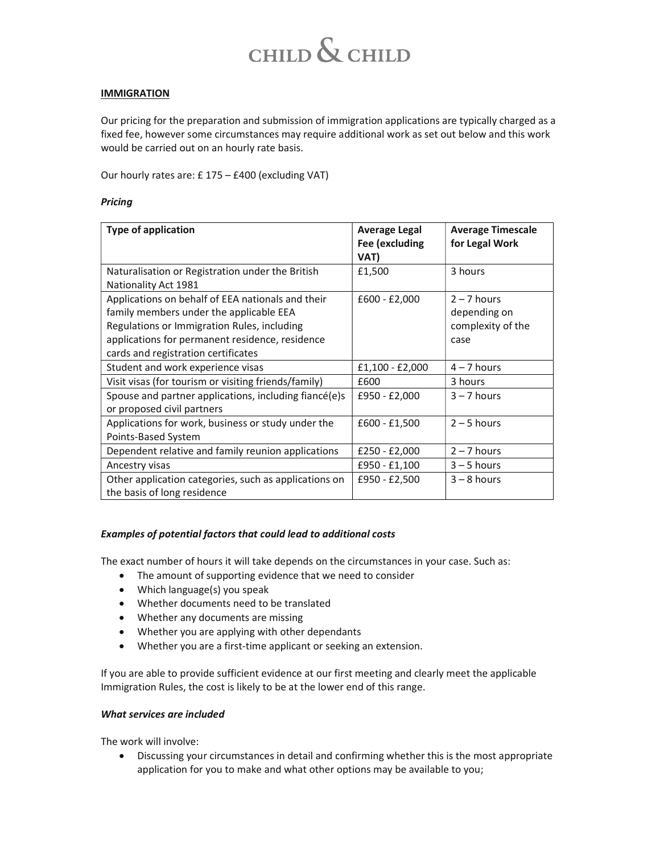# $CHILD$   $\&$   $CHILD$

#### **IMMIGRATION**

Our pricing for the preparation and submission of immigration applications are typically charged as a fixed fee, however some circumstances may require additional work as set out below and this work would be carried out on an hourly rate basis.

Our hourly rates are: £ 175 – £400 (excluding VAT)

#### **Pricing**

| <b>Type of application</b>                                                                                                                                                                                                            | <b>Average Legal</b><br>Fee (excluding<br>VAT) | <b>Average Timescale</b><br>for Legal Work                 |
|---------------------------------------------------------------------------------------------------------------------------------------------------------------------------------------------------------------------------------------|------------------------------------------------|------------------------------------------------------------|
| Naturalisation or Registration under the British<br>Nationality Act 1981                                                                                                                                                              | £1,500                                         | 3 hours                                                    |
| Applications on behalf of EEA nationals and their<br>family members under the applicable EEA<br>Regulations or Immigration Rules, including<br>applications for permanent residence, residence<br>cards and registration certificates | $£600 - £2,000$                                | $2 - 7$ hours<br>depending on<br>complexity of the<br>case |
| Student and work experience visas                                                                                                                                                                                                     | $£1,100 - £2,000$                              | $4 - 7$ hours                                              |
| Visit visas (for tourism or visiting friends/family)                                                                                                                                                                                  | £600                                           | 3 hours                                                    |
| Spouse and partner applications, including fiancé(e)s<br>or proposed civil partners                                                                                                                                                   | £950 - £2,000                                  | $3 - 7$ hours                                              |
| Applications for work, business or study under the<br>Points-Based System                                                                                                                                                             | $£600 - £1,500$                                | $2 - 5$ hours                                              |
| Dependent relative and family reunion applications                                                                                                                                                                                    | £250 - £2,000                                  | $2 - 7$ hours                                              |
| Ancestry visas                                                                                                                                                                                                                        | £950 - £1,100                                  | $3 - 5$ hours                                              |
| Other application categories, such as applications on<br>the basis of long residence                                                                                                                                                  | £950 - £2,500                                  | $3 - 8$ hours                                              |

#### Examples of potential factors that could lead to additional costs

The exact number of hours it will take depends on the circumstances in your case. Such as:

- The amount of supporting evidence that we need to consider
- Which language(s) you speak
- Whether documents need to be translated
- Whether any documents are missing
- Whether you are applying with other dependants
- Whether you are a first-time applicant or seeking an extension.

If you are able to provide sufficient evidence at our first meeting and clearly meet the applicable Immigration Rules, the cost is likely to be at the lower end of this range.

#### What services are included

The work will involve:

 Discussing your circumstances in detail and confirming whether this is the most appropriate application for you to make and what other options may be available to you;